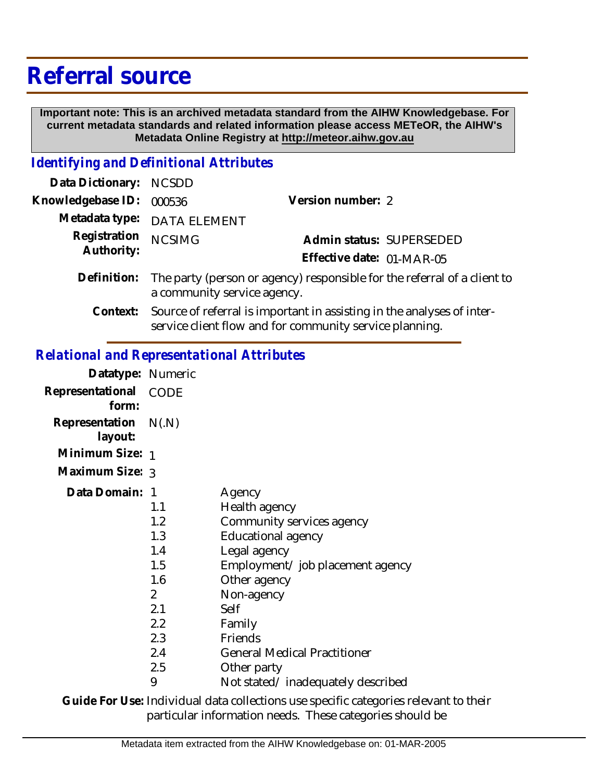## **Referral source**

 **Important note: This is an archived metadata standard from the AIHW Knowledgebase. For current metadata standards and related information please access METeOR, the AIHW's Metadata Online Registry at http://meteor.aihw.gov.au**

## *Identifying and Definitional Attributes*

| Data Dictionary: NCSDD     |                                                                                                                                      |                   |                          |
|----------------------------|--------------------------------------------------------------------------------------------------------------------------------------|-------------------|--------------------------|
| Knowledgebase ID:          | 000536                                                                                                                               | Version number: 2 |                          |
|                            | Metadata type: DATA ELEMENT                                                                                                          |                   |                          |
| Registration<br>Authority: | <b>NCSIMG</b>                                                                                                                        |                   | Admin status: SUPERSEDED |
| Definition:                | Effective date: 01-MAR-05<br>The party (person or agency) responsible for the referral of a client to<br>a community service agency. |                   |                          |
|                            |                                                                                                                                      |                   |                          |

Source of referral is important in assisting in the analyses of interservice client flow and for community service planning. **Context:**

## *Relational and Representational Attributes*

| Datatype: Numeric               |                                                                                                                  |                                                                                                                                                                                                                                                                                      |
|---------------------------------|------------------------------------------------------------------------------------------------------------------|--------------------------------------------------------------------------------------------------------------------------------------------------------------------------------------------------------------------------------------------------------------------------------------|
| Representational<br>form:       | CODE                                                                                                             |                                                                                                                                                                                                                                                                                      |
| Representation N(.N)<br>layout: |                                                                                                                  |                                                                                                                                                                                                                                                                                      |
| Minimum Size: 1                 |                                                                                                                  |                                                                                                                                                                                                                                                                                      |
| Maximum Size: 3                 |                                                                                                                  |                                                                                                                                                                                                                                                                                      |
| Data Domain:                    | - 1<br>1.1<br>1.2<br>1.3<br>1.4<br>1.5<br>1.6<br>$\mathcal{P}$<br>2.1<br>$2.2^{\circ}$<br>2.3<br>2.4<br>2.5<br>9 | Agency<br>Health agency<br>Community services agency<br>Educational agency<br>Legal agency<br>Employment/ job placement agency<br>Other agency<br>Non-agency<br>Self<br>Family<br>Friends<br><b>General Medical Practitioner</b><br>Other party<br>Not stated/inadequately described |
|                                 |                                                                                                                  |                                                                                                                                                                                                                                                                                      |

Guide For Use: Individual data collections use specific categories relevant to their particular information needs. These categories should be